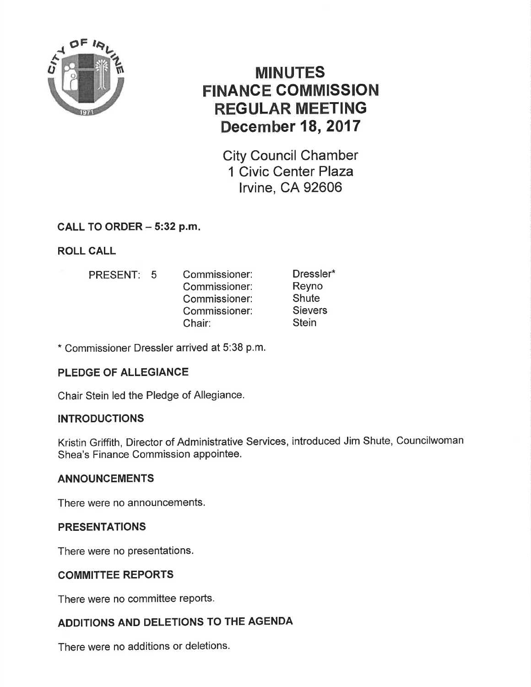

# MINUTES FINANCE COMMISSION REGULAR MEETING December 18, 2017

City Council Chamber 1 Civic Center Plaza lrvine, CA 92606

## CALL TO ORDER - 5:32 p.m.

## ROLL CALL

PRESENT: 5 Commissioner: Commissioner: Commissioner: Commissioner: Chair: Dressler\* Reyno **Shute Sievers Stein** 

\* Commissioner Dressler arrived at 5:38 p.m.

## PLEDGE OF ALLEGIANCE

Chair Stein led the Pledge of Allegiance.

### **INTRODUCTIONS**

Kristin Griffith, Director of Administratíve Services, introduced Jim Shute, Councilwoman Shea's Finance Commission appointee.

### ANNOUNCEMENTS

There were no announcements.

### **PRESENTATIONS**

There were no presentations.

### COMMITTEE REPORTS

There were no committee reports.

## ADDITIONS AND DELETIONS TO THE AGENDA

There were no additions or deletions.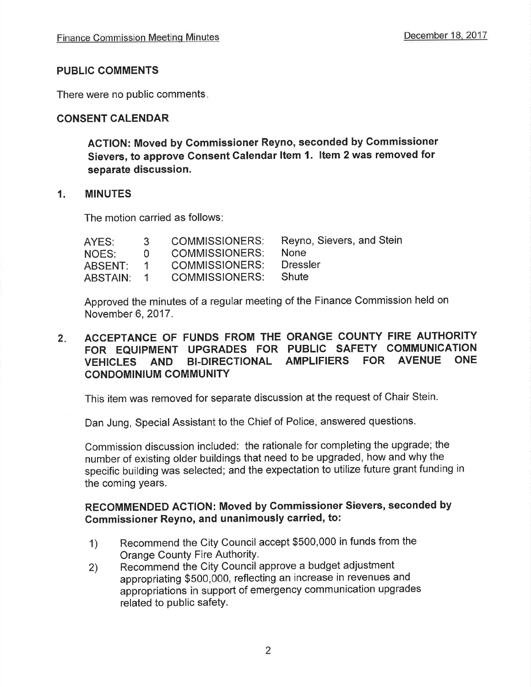#### PUBLIC COMMENTS

There were no public comments

#### CONSENT CALENDAR

AGTION: Moved by Commissioner Reyno, seconded by Gommissioner Sievers, to approve Consent Calendar Item 1. Item 2 was removed for separate discussion.

#### 1. MINUTES

The motion carried as follows

Approved the minutes of a regular meeting of the Finance Commission held on November 6,2017.

#### $2.$ ACCEPTANCE OF FUNDS FROM THE ORANGE COUNTY FIRE AUTHORITY FOR EQUIPMENT UPGRADES FOR PUBLIC SAFETY COMMUNICATION VEHICLES AND BI-DIRECTIONAL AMPLIFIERS FOR AVENUE ONE CONDOMINIUM COMMUNITY

This item was removed for separate discussion at the request of Chair Stein.

Dan Jung, Special Assistant to the Chief of Police, answered questions.

Commission discussion included: the rationale for completing the upgrade; the number of existing older buildings that need to be upgraded, how and why the specific building was selected; and the expectation to utilize future grant funding in the coming years.

## RECOMMENDED ACTION: Moved by Gommissioner Sievers, seconded by Commissioner Reyno, and unanimously carried, to:

- 1) Recommend the City Council accept \$500,000 in funds from the Orange County Fire AuthoritY.
- Recommend the City Council approve a budget adjustment appropriating \$500,000, reflecting an increase in revenues and appropriations in support of emergency communication upgrades related to public safetY. 2)